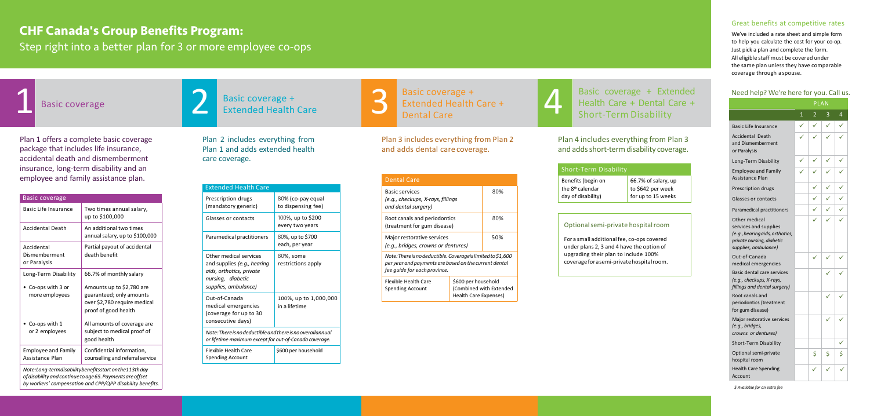### Great benefits at competitive rates

We've included a rate sheet and simple form to help you calculate the cost for your co-op. Just pick a plan and complete the form. All eligible staff must be covered under the same plan unless they have comparable coverage through a spouse.

### Need help? We're here for you. Call us.

Plan 1 offers a complete basic coverage package that includes life insurance, accidental death and dismemberment insurance, long-term disability and an employee and family assistance plan.

| <b>Basic coverage</b>                                  |                                                                                                               |  |  |  |
|--------------------------------------------------------|---------------------------------------------------------------------------------------------------------------|--|--|--|
| Basic Life Insurance                                   | Two times annual salary,<br>up to \$100,000                                                                   |  |  |  |
| <b>Accidental Death</b>                                | An additional two times<br>annual salary, up to \$100,000                                                     |  |  |  |
| Accidental<br>Dismemberment<br>or Paralysis            | Partial payout of accidental<br>death benefit                                                                 |  |  |  |
| Long-Term Disability                                   | 66.7% of monthly salary                                                                                       |  |  |  |
| Co-ops with 3 or<br>more employees                     | Amounts up to \$2,780 are<br>guaranteed; only amounts<br>over \$2,780 require medical<br>proof of good health |  |  |  |
| Co-ops with 1<br>or 2 employees                        | All amounts of coverage are<br>subject to medical proof of<br>good health                                     |  |  |  |
| <b>Employee and Family</b><br>Assistance Plan          | Confidential information,<br>counselling and referral service                                                 |  |  |  |
| Note:Long-termdisabilitybenefitsstart on the 113th day |                                                                                                               |  |  |  |

*ofdisability andcontinue toage65.Paymentsareoffset by workers' compensation and CPP/QPP disability benefits.*

### Plan 4 includes everything from Plan 3 and adds short-term disability coverage.

Plan 2 includes everything from Plan 1 and adds extended health care coverage.

> small additional fee, co-ops covered under plans 2, 3 and 4 have the option of upgrading their plan to include 100% coverageforasemi-privatehospitalroom.

Basic coverage + Extended Health Care + Basic coverage +<br>Extended Health Care +

| <b>Extended Health Care</b>                                                                                                    |                                         |  |  |  |
|--------------------------------------------------------------------------------------------------------------------------------|-----------------------------------------|--|--|--|
| Prescription drugs<br>(mandatory generic)                                                                                      | 80% (co-pay equal<br>to dispensing fee) |  |  |  |
| Glasses or contacts                                                                                                            | 100%, up to \$200<br>every two years    |  |  |  |
| Paramedical practitioners                                                                                                      | 80%, up to \$700<br>each, per year      |  |  |  |
| Other medical services<br>and supplies (e.g., hearing<br>aids, orthotics, private<br>nursing, diabetic<br>supplies, ambulance) | 80%, some<br>restrictions apply         |  |  |  |
| Out-of-Canada<br>medical emergencies<br>(coverage for up to 30<br>consecutive days)                                            | 100%, up to 1,000,000<br>in a lifetime  |  |  |  |
| Note: There is no deductible and there is no overallannual<br>or lifetime maximum except for out-of-Canada coverage.           |                                         |  |  |  |
| Flexible Health Care<br><b>Spending Account</b>                                                                                | \$600 per household                     |  |  |  |

Plan 3 includes everything from Plan 2 and adds dental care coverage.

| <b>Dental Care</b>                                                                                                                                   |     |                                                                                |  |  |  |
|------------------------------------------------------------------------------------------------------------------------------------------------------|-----|--------------------------------------------------------------------------------|--|--|--|
| <b>Basic services</b><br>(e.g., checkups, X-rays, fillings<br>and dental surgery)                                                                    | 80% |                                                                                |  |  |  |
| Root canals and periodontics<br>(treatment for gum disease)                                                                                          |     | 80%                                                                            |  |  |  |
| Major restorative services<br>(e.g., bridges, crowns or dentures)                                                                                    | 50% |                                                                                |  |  |  |
| Note: There is no deductible. Coverageis limited to \$1,600<br>per year and payments are based on the current dental<br>fee guide for each province. |     |                                                                                |  |  |  |
| Flexible Health Care<br><b>Spending Account</b>                                                                                                      |     | \$600 per household<br>(Combined with Extended<br><b>Health Care Expenses)</b> |  |  |  |

### Short-Term Disability

| Benefi<br>the 8 <sup>th</sup><br>day of |
|-----------------------------------------|
|                                         |
| Opti                                    |
| For a                                   |

| Benefits (begin on           |
|------------------------------|
| the 8 <sup>th</sup> calendar |
| day of disability)           |

66.7% of salary, up to \$642 per week for up to 15 weeks

#### ional semi-private hospital room

*\$ Available for an extra fee*

### **CHF Canada's Group Benefits Program:**

Step right into a better plan for 3 or more employee co-ops





### Basic coverage + Extended Health Care + Dental Care + Short-Term Disability

|                                                                                                                                | <b>PLAN</b>  |                |   |   |
|--------------------------------------------------------------------------------------------------------------------------------|--------------|----------------|---|---|
|                                                                                                                                | $\mathbf{1}$ | $\overline{2}$ | 3 | 4 |
| <b>Basic Life Insurance</b>                                                                                                    |              | ✓              |   |   |
| Accidental Death<br>and Dismemberment<br>or Paralysis                                                                          |              |                |   |   |
| Long-Term Disability                                                                                                           |              |                |   |   |
| <b>Employee and Family</b><br><b>Assistance Plan</b>                                                                           |              |                |   |   |
| Prescription drugs                                                                                                             |              |                |   |   |
| Glasses or contacts                                                                                                            |              |                |   |   |
| Paramedical practitioners                                                                                                      |              |                |   |   |
| Other medical<br>services and supplies<br>(e.g., hearing aids, orthotics,<br>private nursing, diabetic<br>supplies, ambulance) |              |                |   |   |
| Out-of-Canada<br>medical emergencies                                                                                           |              |                |   |   |
| <b>Basic dental care services</b><br>(e.g., checkups, X-rays,<br>fillings and dental surgery)                                  |              |                |   |   |
| Root canals and<br>periodontics (treatment<br>for gum disease)                                                                 |              |                |   |   |
| Major restorative services<br>(e.g., bridges,<br>crowns or dentures)                                                           |              |                |   |   |
| <b>Short-Term Disability</b>                                                                                                   |              |                |   |   |
| Optional semi-private<br>hospital room                                                                                         |              | \$             | Ś | Ś |
| <b>Health Care Spending</b><br>Account                                                                                         |              |                |   |   |